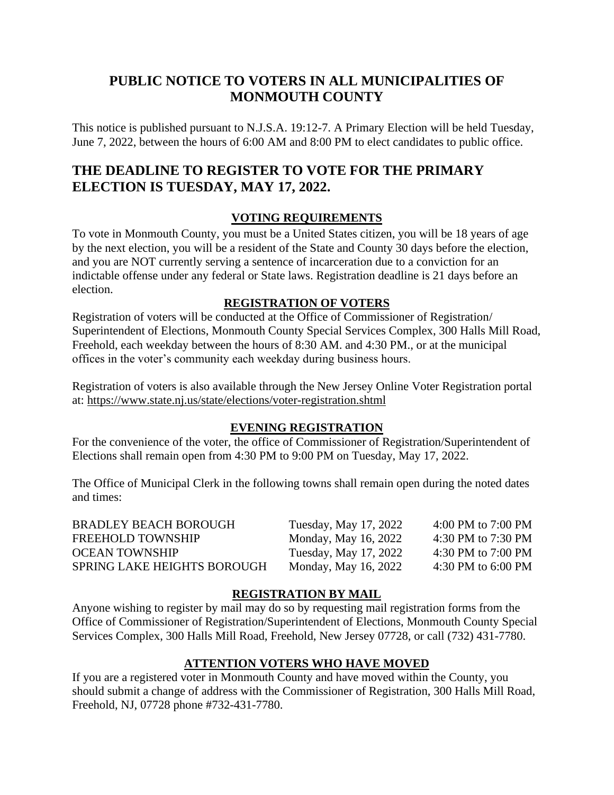## **PUBLIC NOTICE TO VOTERS IN ALL MUNICIPALITIES OF MONMOUTH COUNTY**

This notice is published pursuant to N.J.S.A. 19:12-7. A Primary Election will be held Tuesday, June 7, 2022, between the hours of 6:00 AM and 8:00 PM to elect candidates to public office.

# **THE DEADLINE TO REGISTER TO VOTE FOR THE PRIMARY ELECTION IS TUESDAY, MAY 17, 2022.**

## **VOTING REQUIREMENTS**

To vote in Monmouth County, you must be a United States citizen, you will be 18 years of age by the next election, you will be a resident of the State and County 30 days before the election, and you are NOT currently serving a sentence of incarceration due to a conviction for an indictable offense under any federal or State laws. Registration deadline is 21 days before an election.

### **REGISTRATION OF VOTERS**

Registration of voters will be conducted at the Office of Commissioner of Registration/ Superintendent of Elections, Monmouth County Special Services Complex, 300 Halls Mill Road, Freehold, each weekday between the hours of 8:30 AM. and 4:30 PM., or at the municipal offices in the voter's community each weekday during business hours.

Registration of voters is also available through the New Jersey Online Voter Registration portal at: <https://www.state.nj.us/state/elections/voter-registration.shtml>

#### **EVENING REGISTRATION**

For the convenience of the voter, the office of Commissioner of Registration/Superintendent of Elections shall remain open from 4:30 PM to 9:00 PM on Tuesday, May 17, 2022.

The Office of Municipal Clerk in the following towns shall remain open during the noted dates and times:

| <b>BRADLEY BEACH BOROUGH</b>       | Tuesday, May 17, 2022 | 4:00 PM to $7:00$ PM |
|------------------------------------|-----------------------|----------------------|
| FREEHOLD TOWNSHIP                  | Monday, May 16, 2022  | 4:30 PM to 7:30 PM   |
| <b>OCEAN TOWNSHIP</b>              | Tuesday, May 17, 2022 | 4:30 PM to $7:00$ PM |
| <b>SPRING LAKE HEIGHTS BOROUGH</b> | Monday, May 16, 2022  | 4:30 PM to $6:00$ PM |

#### **REGISTRATION BY MAIL**

Anyone wishing to register by mail may do so by requesting mail registration forms from the Office of Commissioner of Registration/Superintendent of Elections, Monmouth County Special Services Complex, 300 Halls Mill Road, Freehold, New Jersey 07728, or call (732) 431-7780.

## **ATTENTION VOTERS WHO HAVE MOVED**

If you are a registered voter in Monmouth County and have moved within the County, you should submit a change of address with the Commissioner of Registration, 300 Halls Mill Road, Freehold, NJ, 07728 phone #732-431-7780.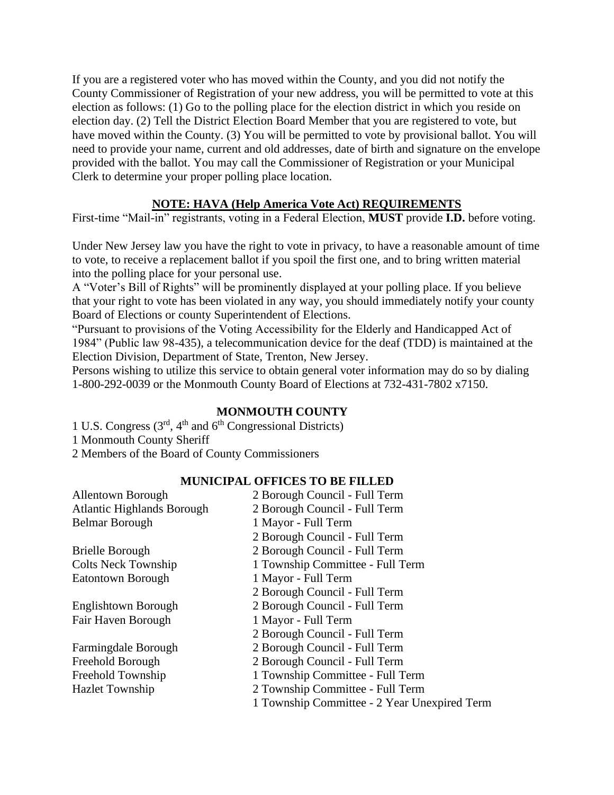If you are a registered voter who has moved within the County, and you did not notify the County Commissioner of Registration of your new address, you will be permitted to vote at this election as follows: (1) Go to the polling place for the election district in which you reside on election day. (2) Tell the District Election Board Member that you are registered to vote, but have moved within the County. (3) You will be permitted to vote by provisional ballot. You will need to provide your name, current and old addresses, date of birth and signature on the envelope provided with the ballot. You may call the Commissioner of Registration or your Municipal Clerk to determine your proper polling place location.

## **NOTE: HAVA (Help America Vote Act) REQUIREMENTS**

First-time "Mail-in" registrants, voting in a Federal Election, **MUST** provide **I.D.** before voting.

Under New Jersey law you have the right to vote in privacy, to have a reasonable amount of time to vote, to receive a replacement ballot if you spoil the first one, and to bring written material into the polling place for your personal use.

A "Voter's Bill of Rights" will be prominently displayed at your polling place. If you believe that your right to vote has been violated in any way, you should immediately notify your county Board of Elections or county Superintendent of Elections.

"Pursuant to provisions of the Voting Accessibility for the Elderly and Handicapped Act of 1984" (Public law 98-435), a telecommunication device for the deaf (TDD) is maintained at the Election Division, Department of State, Trenton, New Jersey.

Persons wishing to utilize this service to obtain general voter information may do so by dialing 1-800-292-0039 or the Monmouth County Board of Elections at 732-431-7802 x7150.

#### **MONMOUTH COUNTY**

1 U.S. Congress (3<sup>rd</sup>, 4<sup>th</sup> and 6<sup>th</sup> Congressional Districts) 1 Monmouth County Sheriff 2 Members of the Board of County Commissioners

#### **MUNICIPAL OFFICES TO BE FILLED**

| <b>Allentown Borough</b>          | 2 Borough Council - Full Term                |  |
|-----------------------------------|----------------------------------------------|--|
| <b>Atlantic Highlands Borough</b> | 2 Borough Council - Full Term                |  |
| <b>Belmar Borough</b>             | 1 Mayor - Full Term                          |  |
|                                   | 2 Borough Council - Full Term                |  |
| <b>Brielle Borough</b>            | 2 Borough Council - Full Term                |  |
| Colts Neck Township               | 1 Township Committee - Full Term             |  |
| <b>Eatontown Borough</b>          | 1 Mayor - Full Term                          |  |
|                                   | 2 Borough Council - Full Term                |  |
| Englishtown Borough               | 2 Borough Council - Full Term                |  |
| Fair Haven Borough                | 1 Mayor - Full Term                          |  |
|                                   | 2 Borough Council - Full Term                |  |
| Farmingdale Borough               | 2 Borough Council - Full Term                |  |
| Freehold Borough                  | 2 Borough Council - Full Term                |  |
| Freehold Township                 | 1 Township Committee - Full Term             |  |
| <b>Hazlet Township</b>            | 2 Township Committee - Full Term             |  |
|                                   | 1 Township Committee - 2 Year Unexpired Term |  |